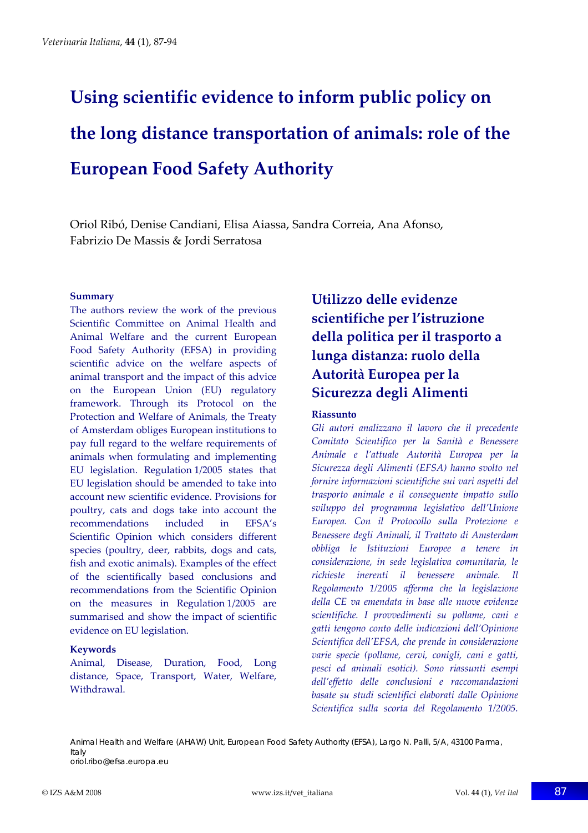# **Using scientific evidence to inform public policy on the long distance transportation of animals: role of the European Food Safety Authority**

Oriol Ribó, Denise Candiani, Elisa Aiassa, Sandra Correia, Ana Afonso, Fabrizio De Massis & Jordi Serratosa

#### **Summary**

The authors review the work of the previous Scientific Committee on Animal Health and Animal Welfare and the current European Food Safety Authority (EFSA) in providing scientific advice on the welfare aspects of animal transport and the impact of this advice on the European Union (EU) regulatory framework. Through its Protocol on the Protection and Welfare of Animals, the Treaty of Amsterdam obliges European institutions to pay full regard to the welfare requirements of animals when formulating and implementing EU legislation. Regulation 1/2005 states that EU legislation should be amended to take into account new scientific evidence. Provisions for poultry, cats and dogs take into account the recommendations included in EFSA's Scientific Opinion which considers different species (poultry, deer, rabbits, dogs and cats, fish and exotic animals). Examples of the effect of the scientifically based conclusions and recommendations from the Scientific Opinion on the measures in Regulation 1/2005 are summarised and show the impact of scientific evidence on EU legislation.

#### **Keywords**

Animal, Disease, Duration, Food, Long distance, Space, Transport, Water, Welfare, **Withdrawal** 

# **Utilizzo delle evidenze scientifiche per l'istruzione della politica per il trasporto a lunga distanza: ruolo della Autorità Europea per la Sicurezza degli Alimenti**

#### **Riassunto**

*Gli autori analizzano il lavoro che il precedente Comitato Scientifico per la Sanità e Benessere Animale e l'attuale Autorità Europea per la Sicurezza degli Alimenti (EFSA) hanno svolto nel fornire informazioni scientifiche sui vari aspetti del trasporto animale e il conseguente impatto sullo sviluppo del programma legislativo dell'Unione Europea. Con il Protocollo sulla Protezione e Benessere degli Animali, il Trattato di Amsterdam obbliga le Istituzioni Europee a tenere in considerazione, in sede legislativa comunitaria, le richieste inerenti il benessere animale. Il Regolamento 1/2005 afferma che la legislazione della CE va emendata in base alle nuove evidenze scientifiche. I provvedimenti su pollame, cani e gatti tengono conto delle indicazioni dell'Opinione Scientifica dell'EFSA, che prende in considerazione varie specie (pollame, cervi, conigli, cani e gatti, pesci ed animali esotici). Sono riassunti esempi dell'effetto delle conclusioni e raccomandazioni basate su studi scientifici elaborati dalle Opinione Scientifica sulla scorta del Regolamento 1/2005.*

Animal Health and Welfare (AHAW) Unit, European Food Safety Authority (EFSA), Largo N. Palli, 5/A, 43100 Parma, Italy oriol.ribo@efsa.europa.eu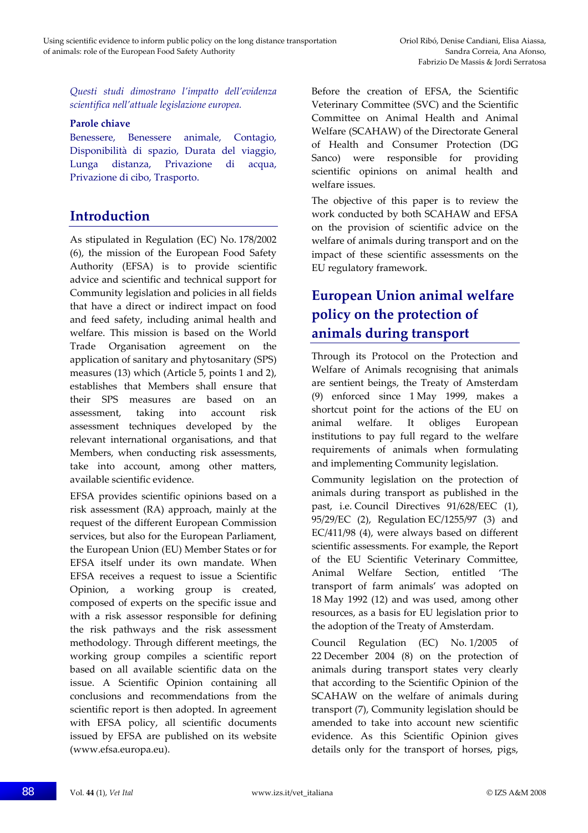*Questi studi dimostrano l'impatto dell'evidenza scientifica nell'attuale legislazione europea.*

#### **Parole chiave**

Benessere, Benessere animale, Contagio, Disponibilità di spazio, Durata del viaggio, Lunga distanza, Privazione di acqua, Privazione di cibo, Trasporto.

## **Introduction**

As stipulated in Regulation (EC) No. 178/2002 (6), the mission of the European Food Safety Authority (EFSA) is to provide scientific advice and scientific and technical support for Community legislation and policies in all fields that have a direct or indirect impact on food and feed safety, including animal health and welfare. This mission is based on the World Trade Organisation agreement on the application of sanitary and phytosanitary (SPS) measures (13) which (Article 5, points 1 and 2), establishes that Members shall ensure that their SPS measures are based on an assessment, taking into account risk assessment techniques developed by the relevant international organisations, and that Members, when conducting risk assessments, take into account, among other matters, available scientific evidence.

EFSA provides scientific opinions based on a risk assessment (RA) approach, mainly at the request of the different European Commission services, but also for the European Parliament, the European Union (EU) Member States or for EFSA itself under its own mandate. When EFSA receives a request to issue a Scientific Opinion, a working group is created, composed of experts on the specific issue and with a risk assessor responsible for defining the risk pathways and the risk assessment methodology. Through different meetings, the working group compiles a scientific report based on all available scientific data on the issue. A Scientific Opinion containing all conclusions and recommendations from the scientific report is then adopted. In agreement with EFSA policy, all scientific documents issued by EFSA are published on its website (www.efsa.europa.eu).

Before the creation of EFSA, the Scientific Veterinary Committee (SVC) and the Scientific Committee on Animal Health and Animal Welfare (SCAHAW) of the Directorate General of Health and Consumer Protection (DG Sanco) were responsible for providing scientific opinions on animal health and welfare issues.

The objective of this paper is to review the work conducted by both SCAHAW and EFSA on the provision of scientific advice on the welfare of animals during transport and on the impact of these scientific assessments on the EU regulatory framework.

# **European Union animal welfare policy on the protection of animals during transport**

Through its Protocol on the Protection and Welfare of Animals recognising that animals are sentient beings, the Treaty of Amsterdam (9) enforced since 1 May 1999, makes a shortcut point for the actions of the EU on animal welfare. It obliges European institutions to pay full regard to the welfare requirements of animals when formulating and implementing Community legislation.

Community legislation on the protection of animals during transport as published in the past, i.e. Council Directives 91/628/EEC (1), 95/29/EC (2), Regulation EC/1255/97 (3) and EC/411/98 (4), were always based on different scientific assessments. For example, the Report of the EU Scientific Veterinary Committee, Animal Welfare Section, entitled 'The transport of farm animals' was adopted on 18 May 1992 (12) and was used, among other resources, as a basis for EU legislation prior to the adoption of the Treaty of Amsterdam.

Council Regulation (EC) No. 1/2005 of 22 December 2004 (8) on the protection of animals during transport states very clearly that according to the Scientific Opinion of the SCAHAW on the welfare of animals during transport (7), Community legislation should be amended to take into account new scientific evidence. As this Scientific Opinion gives details only for the transport of horses, pigs,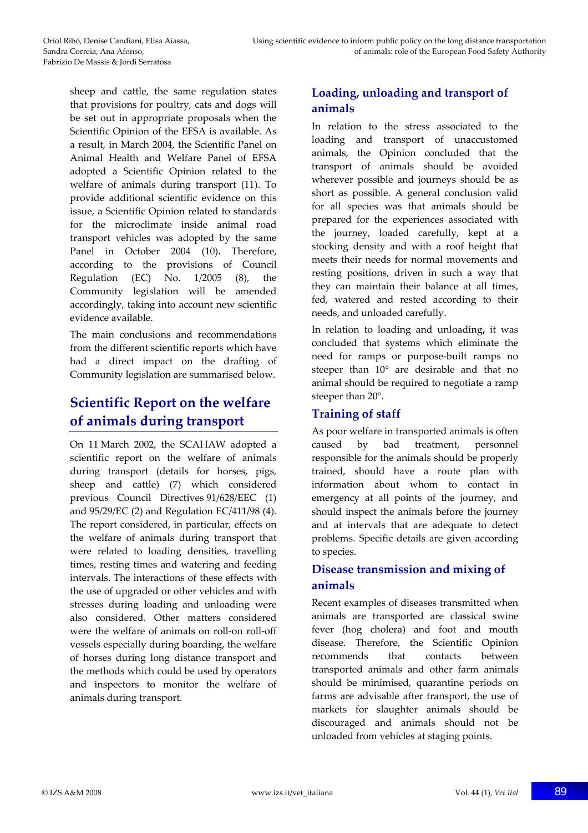sheep and cattle, the same regulation states that provisions for poultry, cats and dogs will be set out in appropriate proposals when the Scientific Opinion of the EFSA is available. As a result, in March 2004, the Scientific Panel on Animal Health and Welfare Panel of EFSA adopted a Scientific Opinion related to the welfare of animals during transport (11). To provide additional scientific evidence on this issue, a Scientific Opinion related to standards for the microclimate inside animal road transport vehicles was adopted by the same Panel in October 2004 (10). Therefore, according to the provisions of Council Regulation (EC) No. 1/2005 (8), the Community legislation will be amended accordingly, taking into account new scientific evidence available.

The main conclusions and recommendations from the different scientific reports which have had a direct impact on the drafting of Community legislation are summarised below.

## **Scientific Report on the welfare of animals during transport**

On 11 March 2002, the SCAHAW adopted a scientific report on the welfare of animals during transport (details for horses, pigs, sheep and cattle) (7) which considered previous Council Directives 91/628/EEC (1) and 95/29/EC (2) and Regulation EC/411/98 (4). The report considered, in particular, effects on the welfare of animals during transport that were related to loading densities, travelling times, resting times and watering and feeding intervals. The interactions of these effects with the use of upgraded or other vehicles and with stresses during loading and unloading were also considered. Other matters considered were the welfare of animals on roll-on roll-off vessels especially during boarding, the welfare of horses during long distance transport and the methods which could be used by operators and inspectors to monitor the welfare of animals during transport.

## **Loading, unloading and transport of animals**

In relation to the stress associated to the loading and transport of unaccustomed animals, the Opinion concluded that the transport of animals should be avoided wherever possible and journeys should be as short as possible. A general conclusion valid for all species was that animals should be prepared for the experiences associated with the journey, loaded carefully, kept at a stocking density and with a roof height that meets their needs for normal movements and resting positions, driven in such a way that they can maintain their balance at all times, fed, watered and rested according to their needs, and unloaded carefully.

In relation to loading and unloading**,** it was concluded that systems which eliminate the need for ramps or purpose‐built ramps no steeper than 10° are desirable and that no animal should be required to negotiate a ramp steeper than 20°.

#### **Training of staff**

As poor welfare in transported animals is often caused by bad treatment, personnel responsible for the animals should be properly trained, should have a route plan with information about whom to contact in emergency at all points of the journey, and should inspect the animals before the journey and at intervals that are adequate to detect problems. Specific details are given according to species.

#### **Disease transmission and mixing of animals**

Recent examples of diseases transmitted when animals are transported are classical swine fever (hog cholera) and foot and mouth disease. Therefore, the Scientific Opinion recommends that contacts between transported animals and other farm animals should be minimised, quarantine periods on farms are advisable after transport, the use of markets for slaughter animals should be discouraged and animals should not be unloaded from vehicles at staging points.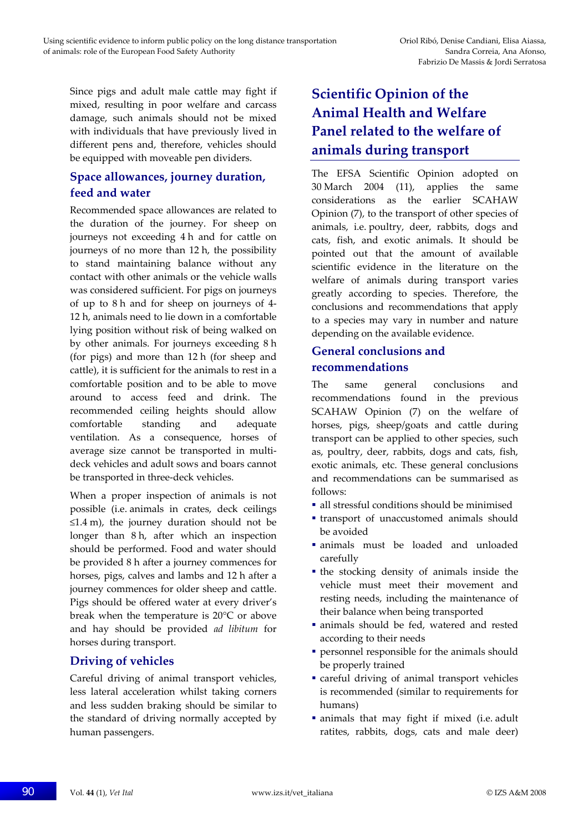Since pigs and adult male cattle may fight if mixed, resulting in poor welfare and carcass damage, such animals should not be mixed with individuals that have previously lived in different pens and, therefore, vehicles should be equipped with moveable pen dividers.

#### **Space allowances, journey duration, feed and water**

Recommended space allowances are related to the duration of the journey. For sheep on journeys not exceeding 4 h and for cattle on journeys of no more than 12 h, the possibility to stand maintaining balance without any contact with other animals or the vehicle walls was considered sufficient. For pigs on journeys of up to 8 h and for sheep on journeys of 4‐ 12 h, animals need to lie down in a comfortable lying position without risk of being walked on by other animals. For journeys exceeding 8 h (for pigs) and more than 12 h (for sheep and cattle), it is sufficient for the animals to rest in a comfortable position and to be able to move around to access feed and drink. The recommended ceiling heights should allow comfortable standing and adequate ventilation. As a consequence, horses of average size cannot be transported in multi‐ deck vehicles and adult sows and boars cannot be transported in three‐deck vehicles.

When a proper inspection of animals is not possible (i.e. animals in crates, deck ceilings  $\leq 1.4$  m), the journey duration should not be longer than 8 h, after which an inspection should be performed. Food and water should be provided 8 h after a journey commences for horses, pigs, calves and lambs and 12 h after a journey commences for older sheep and cattle. Pigs should be offered water at every driver's break when the temperature is 20°C or above and hay should be provided *ad libitum* for horses during transport.

## **Driving of vehicles**

Careful driving of animal transport vehicles, less lateral acceleration whilst taking corners and less sudden braking should be similar to the standard of driving normally accepted by human passengers.

# **Scientific Opinion of the Animal Health and Welfare Panel related to the welfare of animals during transport**

The EFSA Scientific Opinion adopted on 30 March 2004 (11), applies the same considerations as the earlier SCAHAW Opinion (7), to the transport of other species of animals, i.e. poultry, deer, rabbits, dogs and cats, fish, and exotic animals. It should be pointed out that the amount of available scientific evidence in the literature on the welfare of animals during transport varies greatly according to species. Therefore, the conclusions and recommendations that apply to a species may vary in number and nature depending on the available evidence.

#### **General conclusions and recommendations**

The same general conclusions and recommendations found in the previous SCAHAW Opinion (7) on the welfare of horses, pigs, sheep/goats and cattle during transport can be applied to other species, such as, poultry, deer, rabbits, dogs and cats, fish, exotic animals, etc. These general conclusions and recommendations can be summarised as follows:

- all stressful conditions should be minimised
- transport of unaccustomed animals should be avoided
- nust be loaded and unloaded carefully
- the stocking density of animals inside the vehicle must meet their movement and resting needs, including the maintenance of their balance when being transported
- animals should be fed, watered and rested according to their needs
- **Personnel responsible for the animals should** be properly trained
- careful driving of animal transport vehicles is recommended (similar to requirements for humans)
- animals that may fight if mixed (i.e. adult ratites, rabbits, dogs, cats and male deer)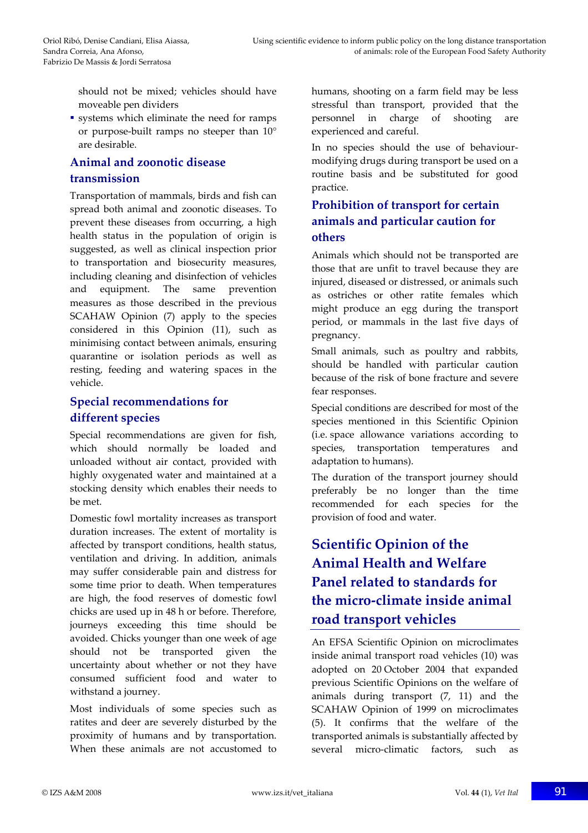should not be mixed; vehicles should have moveable pen dividers

 systems which eliminate the need for ramps or purpose‐built ramps no steeper than 10° are desirable.

#### **Animal and zoonotic disease transmission**

Transportation of mammals, birds and fish can spread both animal and zoonotic diseases. To prevent these diseases from occurring, a high health status in the population of origin is suggested, as well as clinical inspection prior to transportation and biosecurity measures, including cleaning and disinfection of vehicles and equipment. The same prevention measures as those described in the previous SCAHAW Opinion (7) apply to the species considered in this Opinion (11), such as minimising contact between animals, ensuring quarantine or isolation periods as well as resting, feeding and watering spaces in the vehicle.

#### **Special recommendations for different species**

Special recommendations are given for fish, which should normally be loaded and unloaded without air contact, provided with highly oxygenated water and maintained at a stocking density which enables their needs to be met.

Domestic fowl mortality increases as transport duration increases. The extent of mortality is affected by transport conditions, health status, ventilation and driving. In addition, animals may suffer considerable pain and distress for some time prior to death. When temperatures are high, the food reserves of domestic fowl chicks are used up in 48 h or before. Therefore, journeys exceeding this time should be avoided. Chicks younger than one week of age should not be transported given the uncertainty about whether or not they have consumed sufficient food and water to withstand a journey.

Most individuals of some species such as ratites and deer are severely disturbed by the proximity of humans and by transportation. When these animals are not accustomed to humans, shooting on a farm field may be less stressful than transport, provided that the personnel in charge of shooting are experienced and careful.

In no species should the use of behaviour‐ modifying drugs during transport be used on a routine basis and be substituted for good practice.

## **Prohibition of transport for certain animals and particular caution for others**

Animals which should not be transported are those that are unfit to travel because they are injured, diseased or distressed, or animals such as ostriches or other ratite females which might produce an egg during the transport period, or mammals in the last five days of pregnancy.

Small animals, such as poultry and rabbits, should be handled with particular caution because of the risk of bone fracture and severe fear responses.

Special conditions are described for most of the species mentioned in this Scientific Opinion (i.e. space allowance variations according to species, transportation temperatures and adaptation to humans).

The duration of the transport journey should preferably be no longer than the time recommended for each species for the provision of food and water.

# **Scientific Opinion of the Animal Health and Welfare Panel related to standards for the micro‐climate inside animal road transport vehicles**

An EFSA Scientific Opinion on microclimates inside animal transport road vehicles (10) was adopted on 20 October 2004 that expanded previous Scientific Opinions on the welfare of animals during transport (7, 11) and the SCAHAW Opinion of 1999 on microclimates (5). It confirms that the welfare of the transported animals is substantially affected by several micro-climatic factors, such as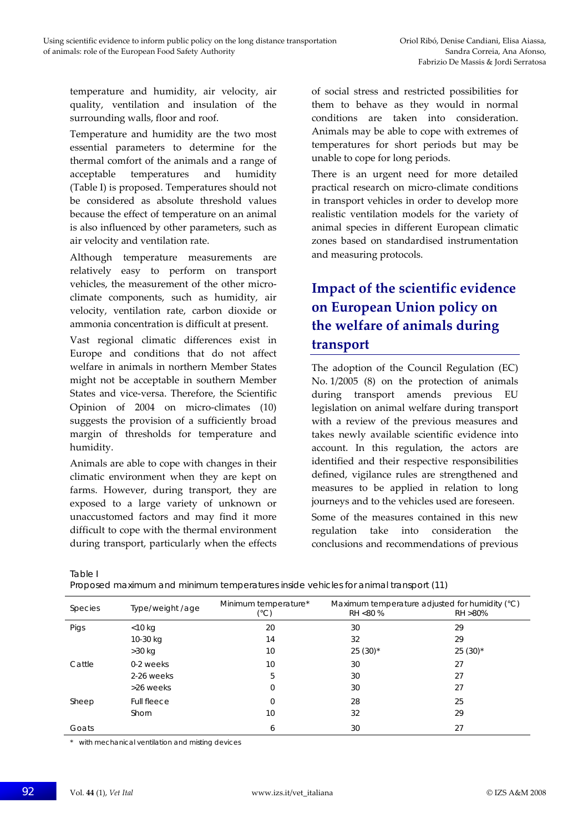temperature and humidity, air velocity, air quality, ventilation and insulation of the surrounding walls, floor and roof.

Temperature and humidity are the two most essential parameters to determine for the thermal comfort of the animals and a range of acceptable temperatures and humidity (Table I) is proposed. Temperatures should not be considered as absolute threshold values because the effect of temperature on an animal is also influenced by other parameters, such as air velocity and ventilation rate.

Although temperature measurements are relatively easy to perform on transport vehicles, the measurement of the other microclimate components, such as humidity, air velocity, ventilation rate, carbon dioxide or ammonia concentration is difficult at present.

Vast regional climatic differences exist in Europe and conditions that do not affect welfare in animals in northern Member States might not be acceptable in southern Member States and vice‐versa. Therefore, the Scientific Opinion of 2004 on micro‐climates (10) suggests the provision of a sufficiently broad margin of thresholds for temperature and humidity.

Animals are able to cope with changes in their climatic environment when they are kept on farms. However, during transport, they are exposed to a large variety of unknown or unaccustomed factors and may find it more difficult to cope with the thermal environment during transport, particularly when the effects of social stress and restricted possibilities for them to behave as they would in normal conditions are taken into consideration. Animals may be able to cope with extremes of temperatures for short periods but may be unable to cope for long periods.

There is an urgent need for more detailed practical research on micro‐climate conditions in transport vehicles in order to develop more realistic ventilation models for the variety of animal species in different European climatic zones based on standardised instrumentation and measuring protocols.

# **Impact of the scientific evidence on European Union policy on the welfare of animals during transport**

The adoption of the Council Regulation (EC) No. 1/2005 (8) on the protection of animals during transport amends previous EU legislation on animal welfare during transport with a review of the previous measures and takes newly available scientific evidence into account. In this regulation, the actors are identified and their respective responsibilities defined, vigilance rules are strengthened and measures to be applied in relation to long journeys and to the vehicles used are foreseen. Some of the measures contained in this new

regulation take into consideration the conclusions and recommendations of previous

Table I

Proposed maximum and minimum temperatures inside vehicles for animal transport (11)

| <b>Species</b> | Type/weight/age    | Minimum temperature*<br>$(^{\circ}C)$ | RH <80 %   | Maximum temperature adjusted for humidity (°C)<br>RH >80% |
|----------------|--------------------|---------------------------------------|------------|-----------------------------------------------------------|
| Pigs           | $<$ 10 kg          | 20                                    | 30         | 29                                                        |
|                | 10-30 kg           | 14                                    | 32         | 29                                                        |
|                | $>30$ kg           | 10                                    | $25(30)^*$ | $25(30)^*$                                                |
| Cattle         | 0-2 weeks          | 10                                    | 30         | 27                                                        |
|                | 2-26 weeks         | 5                                     | 30         | 27                                                        |
|                | >26 weeks          | 0                                     | 30         | 27                                                        |
| Sheep          | <b>Full fleece</b> | 0                                     | 28         | 25                                                        |
|                | Shorn              | 10                                    | 32         | 29                                                        |
| Goats          |                    | 6                                     | 30         | 27                                                        |

\* with mechanical ventilation and misting devices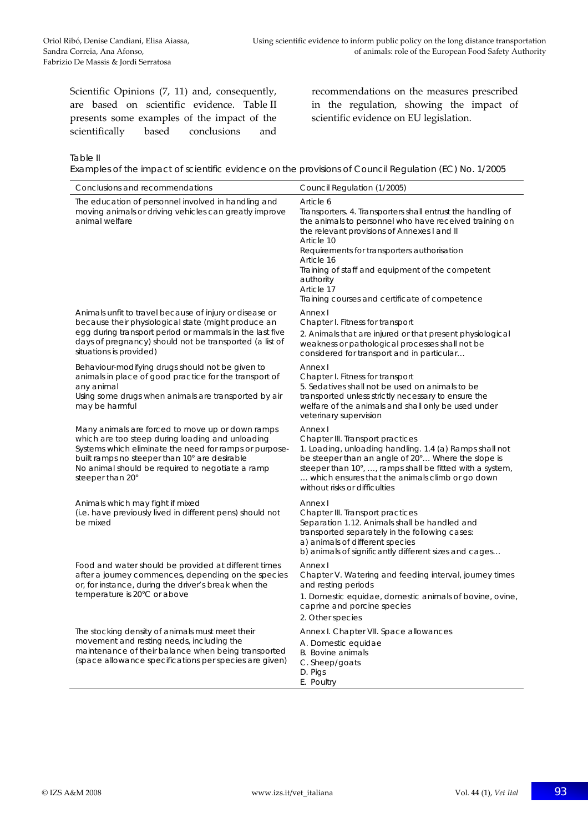Scientific Opinions (7, 11) and, consequently, are based on scientific evidence. Table II presents some examples of the impact of the scientifically based conclusions and recommendations on the measures prescribed in the regulation, showing the impact of scientific evidence on EU legislation.

#### Table II

Examples of the impact of scientific evidence on the provisions of Council Regulation (EC) No. 1/2005

| Conclusions and recommendations                                                                                                                                                                                                                                                         | Council Regulation (1/2005)                                                                                                                                                                                                                                                                                                                                                                   |
|-----------------------------------------------------------------------------------------------------------------------------------------------------------------------------------------------------------------------------------------------------------------------------------------|-----------------------------------------------------------------------------------------------------------------------------------------------------------------------------------------------------------------------------------------------------------------------------------------------------------------------------------------------------------------------------------------------|
| The education of personnel involved in handling and<br>moving animals or driving vehicles can greatly improve<br>animal welfare                                                                                                                                                         | Article 6<br>Transporters. 4. Transporters shall entrust the handling of<br>the animals to personnel who have received training on<br>the relevant provisions of Annexes I and II<br>Article 10<br>Requirements for transporters authorisation<br>Article 16<br>Training of staff and equipment of the competent<br>authority<br>Article 17<br>Training courses and certificate of competence |
| Animals unfit to travel because of injury or disease or<br>because their physiological state (might produce an<br>egg during transport period or mammals in the last five<br>days of pregnancy) should not be transported (a list of<br>situations is provided)                         | Annex I<br>Chapter I. Fitness for transport<br>2. Animals that are injured or that present physiological<br>weakness or pathological processes shall not be<br>considered for transport and in particular                                                                                                                                                                                     |
| Behaviour-modifying drugs should not be given to<br>animals in place of good practice for the transport of<br>any animal<br>Using some drugs when animals are transported by air<br>may be harmful                                                                                      | Annex I<br>Chapter I. Fitness for transport<br>5. Sedatives shall not be used on animals to be<br>transported unless strictly necessary to ensure the<br>welfare of the animals and shall only be used under<br>veterinary supervision                                                                                                                                                        |
| Many animals are forced to move up or down ramps<br>which are too steep during loading and unloading<br>Systems which eliminate the need for ramps or purpose-<br>built ramps no steeper than 10° are desirable<br>No animal should be required to negotiate a ramp<br>steeper than 20° | Annex I<br>Chapter III. Transport practices<br>1. Loading, unloading handling. 1.4 (a) Ramps shall not<br>be steeper than an angle of 20° Where the slope is<br>steeper than 10°, , ramps shall be fitted with a system,<br>which ensures that the animals climb or go down<br>without risks or difficulties                                                                                  |
| Animals which may fight if mixed<br>(i.e. have previously lived in different pens) should not<br>be mixed                                                                                                                                                                               | Annex I<br>Chapter III. Transport practices<br>Separation 1.12. Animals shall be handled and<br>transported separately in the following cases:<br>a) animals of different species<br>b) animals of significantly different sizes and cages                                                                                                                                                    |
| Food and water should be provided at different times<br>after a journey commences, depending on the species<br>or, for instance, during the driver's break when the<br>temperature is 20°C or above                                                                                     | Annex I<br>Chapter V. Watering and feeding interval, journey times<br>and resting periods<br>1. Domestic equidae, domestic animals of bovine, ovine,<br>caprine and porcine species<br>2. Other species                                                                                                                                                                                       |
| The stocking density of animals must meet their<br>movement and resting needs, including the<br>maintenance of their balance when being transported<br>(space allowance specifications per species are given)                                                                           | Annex I. Chapter VII. Space allowances<br>A. Domestic equidae<br><b>B.</b> Bovine animals<br>C. Sheep/goats<br>D. Pigs<br>E. Poultry                                                                                                                                                                                                                                                          |